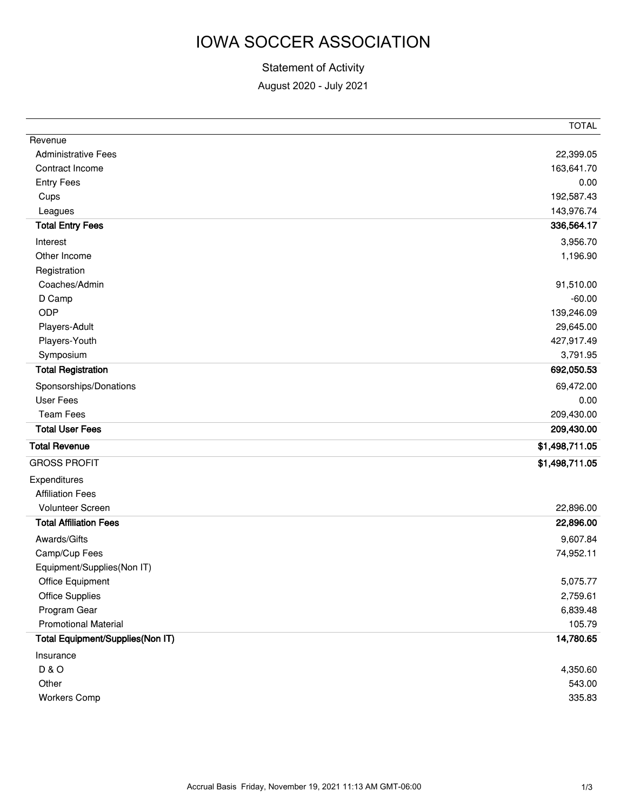# IOWA SOCCER ASSOCIATION

#### Statement of Activity

August 2020 - July 2021

| <b>Administrative Fees</b><br>22,399.05<br>163,641.70<br>Contract Income<br><b>Entry Fees</b><br>0.00<br>192,587.43<br>Cups<br>143,976.74<br>Leagues<br><b>Total Entry Fees</b><br>336,564.17<br>3,956.70<br>Interest<br>Other Income<br>1,196.90<br>Registration<br>Coaches/Admin<br>91,510.00<br>D Camp<br>$-60.00$<br>ODP<br>139,246.09<br>29,645.00<br>Players-Adult<br>Players-Youth<br>427,917.49<br>3,791.95<br>Symposium<br><b>Total Registration</b><br>692,050.53<br>Sponsorships/Donations<br>69,472.00<br>User Fees<br>0.00<br><b>Team Fees</b><br>209,430.00<br><b>Total User Fees</b><br>209,430.00<br>\$1,498,711.05<br>\$1,498,711.05<br><b>Affiliation Fees</b><br>Volunteer Screen<br>22,896.00<br><b>Total Affiliation Fees</b><br>22,896.00<br>Awards/Gifts<br>9,607.84<br>Camp/Cup Fees<br>74,952.11<br>Equipment/Supplies(Non IT)<br>Office Equipment<br>5,075.77<br><b>Office Supplies</b><br>2,759.61<br>Program Gear<br>6,839.48<br><b>Promotional Material</b><br>105.79<br>Total Equipment/Supplies(Non IT)<br>14,780.65<br>Insurance<br><b>D&amp;O</b><br>4,350.60<br>Other<br>543.00 |                      | <b>TOTAL</b> |
|-------------------------------------------------------------------------------------------------------------------------------------------------------------------------------------------------------------------------------------------------------------------------------------------------------------------------------------------------------------------------------------------------------------------------------------------------------------------------------------------------------------------------------------------------------------------------------------------------------------------------------------------------------------------------------------------------------------------------------------------------------------------------------------------------------------------------------------------------------------------------------------------------------------------------------------------------------------------------------------------------------------------------------------------------------------------------------------------------------------------|----------------------|--------------|
|                                                                                                                                                                                                                                                                                                                                                                                                                                                                                                                                                                                                                                                                                                                                                                                                                                                                                                                                                                                                                                                                                                                   | Revenue              |              |
|                                                                                                                                                                                                                                                                                                                                                                                                                                                                                                                                                                                                                                                                                                                                                                                                                                                                                                                                                                                                                                                                                                                   |                      |              |
|                                                                                                                                                                                                                                                                                                                                                                                                                                                                                                                                                                                                                                                                                                                                                                                                                                                                                                                                                                                                                                                                                                                   |                      |              |
|                                                                                                                                                                                                                                                                                                                                                                                                                                                                                                                                                                                                                                                                                                                                                                                                                                                                                                                                                                                                                                                                                                                   |                      |              |
|                                                                                                                                                                                                                                                                                                                                                                                                                                                                                                                                                                                                                                                                                                                                                                                                                                                                                                                                                                                                                                                                                                                   |                      |              |
|                                                                                                                                                                                                                                                                                                                                                                                                                                                                                                                                                                                                                                                                                                                                                                                                                                                                                                                                                                                                                                                                                                                   |                      |              |
|                                                                                                                                                                                                                                                                                                                                                                                                                                                                                                                                                                                                                                                                                                                                                                                                                                                                                                                                                                                                                                                                                                                   |                      |              |
|                                                                                                                                                                                                                                                                                                                                                                                                                                                                                                                                                                                                                                                                                                                                                                                                                                                                                                                                                                                                                                                                                                                   |                      |              |
|                                                                                                                                                                                                                                                                                                                                                                                                                                                                                                                                                                                                                                                                                                                                                                                                                                                                                                                                                                                                                                                                                                                   |                      |              |
|                                                                                                                                                                                                                                                                                                                                                                                                                                                                                                                                                                                                                                                                                                                                                                                                                                                                                                                                                                                                                                                                                                                   |                      |              |
|                                                                                                                                                                                                                                                                                                                                                                                                                                                                                                                                                                                                                                                                                                                                                                                                                                                                                                                                                                                                                                                                                                                   |                      |              |
|                                                                                                                                                                                                                                                                                                                                                                                                                                                                                                                                                                                                                                                                                                                                                                                                                                                                                                                                                                                                                                                                                                                   |                      |              |
|                                                                                                                                                                                                                                                                                                                                                                                                                                                                                                                                                                                                                                                                                                                                                                                                                                                                                                                                                                                                                                                                                                                   |                      |              |
|                                                                                                                                                                                                                                                                                                                                                                                                                                                                                                                                                                                                                                                                                                                                                                                                                                                                                                                                                                                                                                                                                                                   |                      |              |
|                                                                                                                                                                                                                                                                                                                                                                                                                                                                                                                                                                                                                                                                                                                                                                                                                                                                                                                                                                                                                                                                                                                   |                      |              |
|                                                                                                                                                                                                                                                                                                                                                                                                                                                                                                                                                                                                                                                                                                                                                                                                                                                                                                                                                                                                                                                                                                                   |                      |              |
|                                                                                                                                                                                                                                                                                                                                                                                                                                                                                                                                                                                                                                                                                                                                                                                                                                                                                                                                                                                                                                                                                                                   |                      |              |
|                                                                                                                                                                                                                                                                                                                                                                                                                                                                                                                                                                                                                                                                                                                                                                                                                                                                                                                                                                                                                                                                                                                   |                      |              |
|                                                                                                                                                                                                                                                                                                                                                                                                                                                                                                                                                                                                                                                                                                                                                                                                                                                                                                                                                                                                                                                                                                                   |                      |              |
|                                                                                                                                                                                                                                                                                                                                                                                                                                                                                                                                                                                                                                                                                                                                                                                                                                                                                                                                                                                                                                                                                                                   |                      |              |
|                                                                                                                                                                                                                                                                                                                                                                                                                                                                                                                                                                                                                                                                                                                                                                                                                                                                                                                                                                                                                                                                                                                   |                      |              |
|                                                                                                                                                                                                                                                                                                                                                                                                                                                                                                                                                                                                                                                                                                                                                                                                                                                                                                                                                                                                                                                                                                                   | <b>Total Revenue</b> |              |
|                                                                                                                                                                                                                                                                                                                                                                                                                                                                                                                                                                                                                                                                                                                                                                                                                                                                                                                                                                                                                                                                                                                   | <b>GROSS PROFIT</b>  |              |
|                                                                                                                                                                                                                                                                                                                                                                                                                                                                                                                                                                                                                                                                                                                                                                                                                                                                                                                                                                                                                                                                                                                   | Expenditures         |              |
|                                                                                                                                                                                                                                                                                                                                                                                                                                                                                                                                                                                                                                                                                                                                                                                                                                                                                                                                                                                                                                                                                                                   |                      |              |
|                                                                                                                                                                                                                                                                                                                                                                                                                                                                                                                                                                                                                                                                                                                                                                                                                                                                                                                                                                                                                                                                                                                   |                      |              |
|                                                                                                                                                                                                                                                                                                                                                                                                                                                                                                                                                                                                                                                                                                                                                                                                                                                                                                                                                                                                                                                                                                                   |                      |              |
|                                                                                                                                                                                                                                                                                                                                                                                                                                                                                                                                                                                                                                                                                                                                                                                                                                                                                                                                                                                                                                                                                                                   |                      |              |
|                                                                                                                                                                                                                                                                                                                                                                                                                                                                                                                                                                                                                                                                                                                                                                                                                                                                                                                                                                                                                                                                                                                   |                      |              |
|                                                                                                                                                                                                                                                                                                                                                                                                                                                                                                                                                                                                                                                                                                                                                                                                                                                                                                                                                                                                                                                                                                                   |                      |              |
|                                                                                                                                                                                                                                                                                                                                                                                                                                                                                                                                                                                                                                                                                                                                                                                                                                                                                                                                                                                                                                                                                                                   |                      |              |
|                                                                                                                                                                                                                                                                                                                                                                                                                                                                                                                                                                                                                                                                                                                                                                                                                                                                                                                                                                                                                                                                                                                   |                      |              |
|                                                                                                                                                                                                                                                                                                                                                                                                                                                                                                                                                                                                                                                                                                                                                                                                                                                                                                                                                                                                                                                                                                                   |                      |              |
|                                                                                                                                                                                                                                                                                                                                                                                                                                                                                                                                                                                                                                                                                                                                                                                                                                                                                                                                                                                                                                                                                                                   |                      |              |
|                                                                                                                                                                                                                                                                                                                                                                                                                                                                                                                                                                                                                                                                                                                                                                                                                                                                                                                                                                                                                                                                                                                   |                      |              |
|                                                                                                                                                                                                                                                                                                                                                                                                                                                                                                                                                                                                                                                                                                                                                                                                                                                                                                                                                                                                                                                                                                                   |                      |              |
|                                                                                                                                                                                                                                                                                                                                                                                                                                                                                                                                                                                                                                                                                                                                                                                                                                                                                                                                                                                                                                                                                                                   |                      |              |
|                                                                                                                                                                                                                                                                                                                                                                                                                                                                                                                                                                                                                                                                                                                                                                                                                                                                                                                                                                                                                                                                                                                   |                      |              |
|                                                                                                                                                                                                                                                                                                                                                                                                                                                                                                                                                                                                                                                                                                                                                                                                                                                                                                                                                                                                                                                                                                                   | <b>Workers Comp</b>  | 335.83       |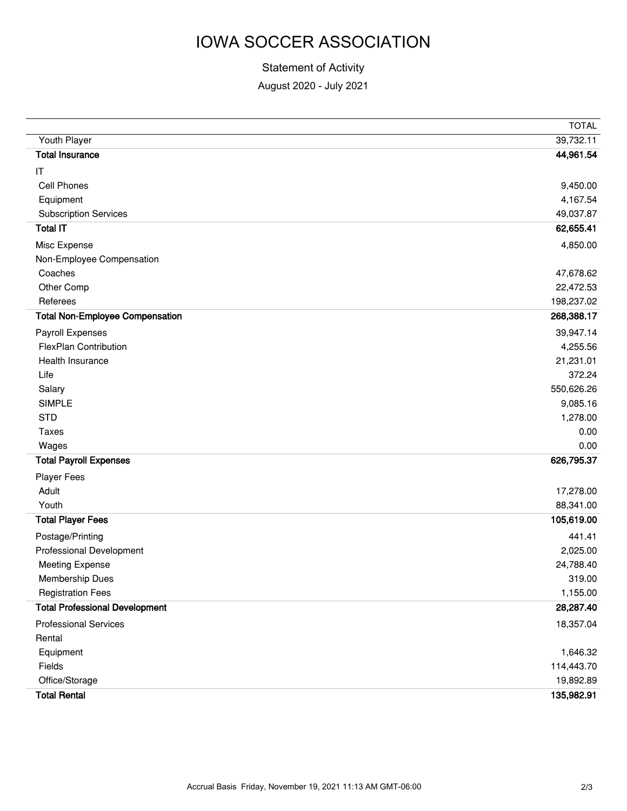# IOWA SOCCER ASSOCIATION

#### Statement of Activity

August 2020 - July 2021

|                                        | <b>TOTAL</b> |
|----------------------------------------|--------------|
| Youth Player                           | 39,732.11    |
| <b>Total Insurance</b>                 | 44,961.54    |
| IT                                     |              |
| Cell Phones                            | 9,450.00     |
| Equipment                              | 4,167.54     |
| <b>Subscription Services</b>           | 49,037.87    |
| <b>Total IT</b>                        | 62,655.41    |
| Misc Expense                           | 4,850.00     |
| Non-Employee Compensation              |              |
| Coaches                                | 47,678.62    |
| Other Comp                             | 22,472.53    |
| Referees                               | 198,237.02   |
| <b>Total Non-Employee Compensation</b> | 268,388.17   |
| Payroll Expenses                       | 39,947.14    |
| <b>FlexPlan Contribution</b>           | 4,255.56     |
| Health Insurance                       | 21,231.01    |
| Life                                   | 372.24       |
| Salary                                 | 550,626.26   |
| <b>SIMPLE</b>                          | 9,085.16     |
| <b>STD</b>                             | 1,278.00     |
| <b>Taxes</b>                           | 0.00         |
| Wages                                  | 0.00         |
| <b>Total Payroll Expenses</b>          | 626,795.37   |
| <b>Player Fees</b>                     |              |
| Adult                                  | 17,278.00    |
| Youth                                  | 88,341.00    |
| <b>Total Player Fees</b>               | 105,619.00   |
| Postage/Printing                       | 441.41       |
| Professional Development               | 2,025.00     |
| <b>Meeting Expense</b>                 | 24,788.40    |
| Membership Dues                        | 319.00       |
| <b>Registration Fees</b>               | 1,155.00     |
| <b>Total Professional Development</b>  | 28,287.40    |
| <b>Professional Services</b>           | 18,357.04    |
| Rental                                 |              |
| Equipment                              | 1,646.32     |
| Fields                                 | 114,443.70   |
| Office/Storage                         | 19,892.89    |
| <b>Total Rental</b>                    | 135,982.91   |